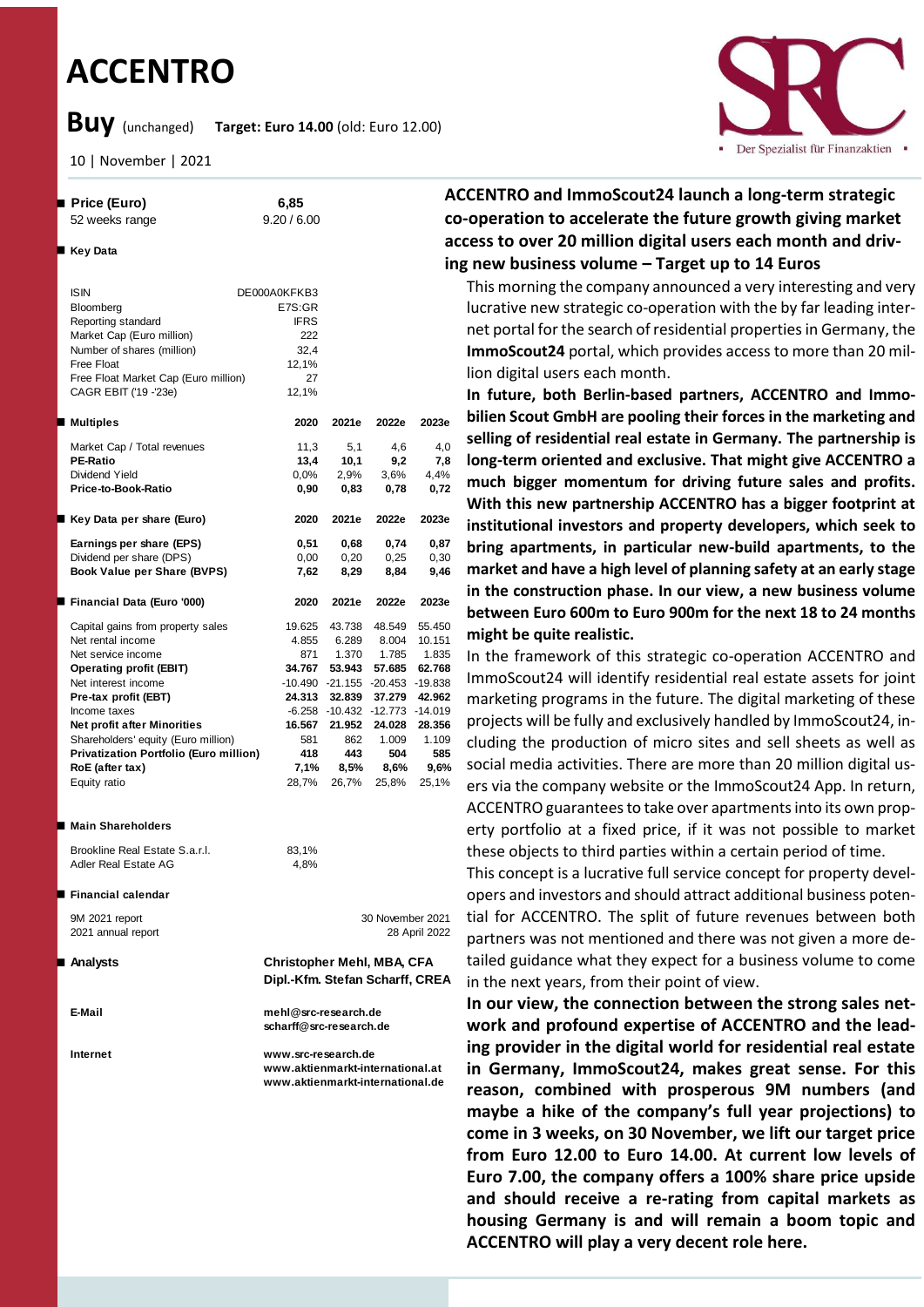# **ACCENTRO**

**Buy** (unchanged) **Target: Euro 14.00** (old: Euro 12.00)

■ Key Data

10 | November | 2021

 **Price (Euro) 6,85** 52 weeks range 9.20 / 6.00



**ACCENTRO and ImmoScout24 launch a long-term strategic co-operation to accelerate the future growth giving market access to over 20 million digital users each month and driving new business volume – Target up to 14 Euros** 

This morning the company announced a very interesting and very lucrative new strategic co-operation with the by far leading internet portal for the search of residential properties in Germany, the **ImmoScout24** portal, which provides access to more than 20 million digital users each month.

**In future, both Berlin-based partners, ACCENTRO and Immobilien Scout GmbH are pooling their forces in the marketing and selling of residential real estate in Germany. The partnership is long-term oriented and exclusive. That might give ACCENTRO a much bigger momentum for driving future sales and profits. With this new partnership ACCENTRO has a bigger footprint at institutional investors and property developers, which seek to bring apartments, in particular new-build apartments, to the market and have a high level of planning safety at an early stage in the construction phase. In our view, a new business volume between Euro 600m to Euro 900m for the next 18 to 24 months might be quite realistic.** 

In the framework of this strategic co-operation ACCENTRO and ImmoScout24 will identify residential real estate assets for joint marketing programs in the future. The digital marketing of these projects will be fully and exclusively handled by ImmoScout24, including the production of micro sites and sell sheets as well as social media activities. There are more than 20 million digital users via the company website or the ImmoScout24 App. In return, ACCENTRO guarantees to take over apartments into its own property portfolio at a fixed price, if it was not possible to market these objects to third parties within a certain period of time.

This concept is a lucrative full service concept for property developers and investors and should attract additional business potential for ACCENTRO. The split of future revenues between both partners was not mentioned and there was not given a more detailed guidance what they expect for a business volume to come in the next years, from their point of view.

**In our view, the connection between the strong sales network and profound expertise of ACCENTRO and the leading provider in the digital world for residential real estate in Germany, ImmoScout24, makes great sense. For this reason, combined with prosperous 9M numbers (and maybe a hike of the company's full year projections) to come in 3 weeks, on 30 November, we lift our target price from Euro 12.00 to Euro 14.00. At current low levels of Euro 7.00, the company offers a 100% share price upside and should receive a re-rating from capital markets as housing Germany is and will remain a boom topic and ACCENTRO will play a very decent role here.**

|                                                                                                                                                                                                                                                                                                                                                |                                                                              |                                                                                                                                                                                                       |                                                                     | Ш                                                                              |  |
|------------------------------------------------------------------------------------------------------------------------------------------------------------------------------------------------------------------------------------------------------------------------------------------------------------------------------------------------|------------------------------------------------------------------------------|-------------------------------------------------------------------------------------------------------------------------------------------------------------------------------------------------------|---------------------------------------------------------------------|--------------------------------------------------------------------------------|--|
| <b>ISIN</b><br>Bloomberg<br>Reporting standard<br>Market Cap (Euro million)<br>Number of shares (million)<br>Free Float<br>Free Float Market Cap (Euro million)<br>CAGR EBIT ('19 -'23e)                                                                                                                                                       | DE000A0KFKB3<br>E7S:GR<br><b>IFRS</b><br>222<br>32,4<br>12,1%<br>27<br>12,1% |                                                                                                                                                                                                       |                                                                     |                                                                                |  |
| ■ Multiples                                                                                                                                                                                                                                                                                                                                    | 2020                                                                         | 2021e                                                                                                                                                                                                 | 2022e                                                               | 2023e                                                                          |  |
| Market Cap / Total revenues<br><b>PE-Ratio</b><br>Dividend Yield<br>Price-to-Book-Ratio                                                                                                                                                                                                                                                        | 11,3<br>13,4<br>$0.0\%$<br>0,90                                              | 5,1<br>10,1<br>2,9%<br>0,83                                                                                                                                                                           | 4,6<br>9,2<br>3,6%<br>0,78                                          | 4,0<br>7,8<br>4,4%<br>0,72                                                     |  |
| ■ Key Data per share (Euro)                                                                                                                                                                                                                                                                                                                    | 2020                                                                         | 2021e                                                                                                                                                                                                 | 2022e                                                               | 2023e                                                                          |  |
| Earnings per share (EPS)<br>Dividend per share (DPS)<br>Book Value per Share (BVPS)                                                                                                                                                                                                                                                            | 0,51<br>0,00<br>7,62                                                         | 0,68<br>0,20<br>8,29                                                                                                                                                                                  | 0,74<br>0,25<br>8,84                                                | 0,87<br>0,30<br>9,46                                                           |  |
| ■ Financial Data (Euro '000)                                                                                                                                                                                                                                                                                                                   | 2020                                                                         | 2021e                                                                                                                                                                                                 | 2022e                                                               | 2023e                                                                          |  |
| Capital gains from property sales<br>Net rental income<br>Net service income<br><b>Operating profit (EBIT)</b><br>Net interest income<br>Pre-tax profit (EBT)<br>Income taxes<br><b>Net profit after Minorities</b><br>Shareholders' equity (Euro million)<br><b>Privatization Portfolio (Euro million)</b><br>RoE (after tax)<br>Equity ratio | 19.625<br>4.855<br>871<br>34.767<br>581<br>418<br>7,1%<br>28,7%              | 43.738<br>6.289<br>1.370<br>53.943<br>-10.490 -21.155 -20.453 -19.838<br>24.313 32.839 37.279<br>$-6.258$ $-10.432$ $-12.773$ $-14.019$<br>16.567 21.952 24.028 28.356<br>862<br>443<br>8,5%<br>26,7% | 48.549<br>8.004<br>1.785<br>57.685<br>1.009<br>504<br>8,6%<br>25,8% | 55.450<br>10.151<br>1.835<br>62.768<br>42.962<br>1.109<br>585<br>9,6%<br>25,1% |  |
| ■ Main Shareholders<br>Brookline Real Estate S.a.r.l.<br>Adler Real Estate AG                                                                                                                                                                                                                                                                  | 83,1%<br>4,8%                                                                |                                                                                                                                                                                                       |                                                                     |                                                                                |  |
| ■ Financial calendar<br>9M 2021 report<br>2021 annual report                                                                                                                                                                                                                                                                                   |                                                                              |                                                                                                                                                                                                       | 30 November 2021                                                    | 28 April 2022                                                                  |  |
| ■ Analysts                                                                                                                                                                                                                                                                                                                                     |                                                                              | Christopher Mehl, MBA, CFA<br>Dipl.-Kfm. Stefan Scharff, CREA                                                                                                                                         |                                                                     |                                                                                |  |
| E-Mail                                                                                                                                                                                                                                                                                                                                         |                                                                              | mehl@src-research.de<br>scharff@src-research.de                                                                                                                                                       |                                                                     |                                                                                |  |
| Internet                                                                                                                                                                                                                                                                                                                                       |                                                                              | www.src-research.de<br>www.aktienmarkt-international.at<br>www.aktienmarkt-international.de                                                                                                           |                                                                     |                                                                                |  |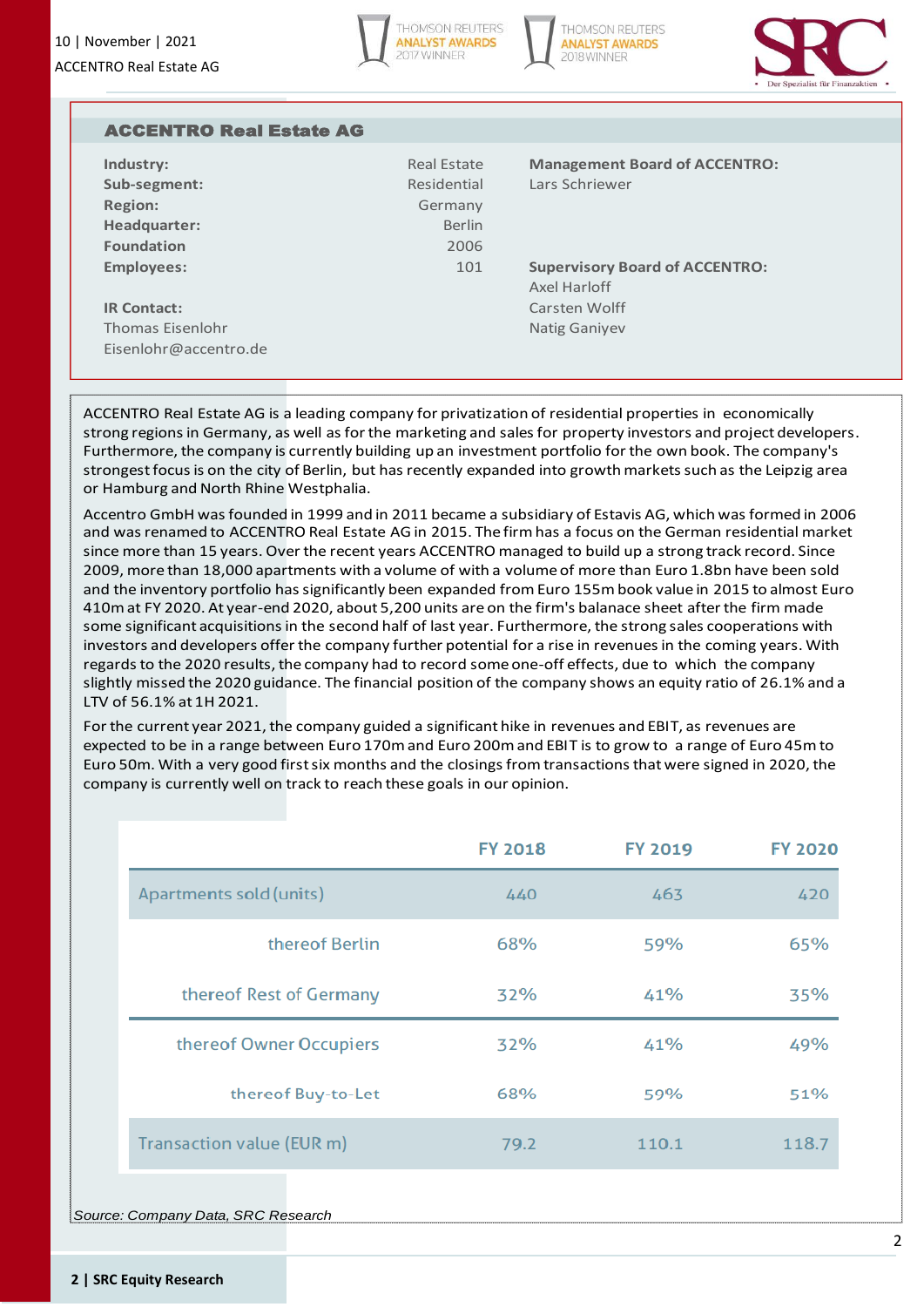





| <b>ACCENTRO Real Estate AG</b> |               |                                       |
|--------------------------------|---------------|---------------------------------------|
| Industry:                      | Real Estate   | <b>Management Board of ACCENTRO:</b>  |
| Sub-segment:                   | Residential   | Lars Schriewer                        |
| <b>Region:</b>                 | Germany       |                                       |
| Headquarter:                   | <b>Berlin</b> |                                       |
| <b>Foundation</b>              | 2006          |                                       |
| <b>Employees:</b>              | 101           | <b>Supervisory Board of ACCENTRO:</b> |
|                                |               | Axel Harloff                          |
| <b>IR Contact:</b>             |               | Carsten Wolff                         |
| Thomas Fisenlohr               |               | <b>Natig Ganiyev</b>                  |
| Eisenlohr@accentro.de          |               |                                       |

ACCENTRO Real Estate AG is a leading company for privatization of residential properties in economically strong regions in Germany, as well as for the marketing and sales for property investors and project developers. Furthermore, the company is currently building up an investment portfolio for the own book. The company's strongest focus is on the city of Berlin, but has recently expanded into growth markets such as the Leipzig area or Hamburg and North Rhine Westphalia.

Accentro GmbH was founded in 1999 and in 2011 became a subsidiary of Estavis AG, which was formed in 2006 and was renamed to ACCENTRO Real Estate AG in 2015. The firm has a focus on the German residential market since more than 15 years. Over the recent years ACCENTRO managed to build up a strong track record. Since 2009, more than 18,000 apartments with a volume of with a volume of more than Euro 1.8bn have been sold and the inventory portfolio has significantly been expanded from Euro 155m book value in 2015 to almost Euro 410m at FY 2020. At year-end 2020, about 5,200 units are on the firm's balanace sheet after the firm made some significant acquisitions in the second half of last year. Furthermore, the strong sales cooperations with investors and developers offer the company further potential for a rise in revenues in the coming years. With regards to the 2020 results, the company had to record some one-off effects, due to which the company slightly missed the 2020 guidance. The financial position of the company shows an equity ratio of 26.1% and a LTV of 56.1% at 1H 2021.

For the current year 2021, the company guided a significant hike in revenues and EBIT, as revenues are expected to be in a range between Euro 170m and Euro 200m and EBIT is to grow to a range of Euro 45m to Euro 50m. With a very good first six months and the closings from transactions that were signed in 2020, the company is currently well on track to reach these goals in our opinion.

|                           | <b>FY 2018</b> | FY 2019 | <b>FY 2020</b> |
|---------------------------|----------------|---------|----------------|
| Apartments sold (units)   | 440            | 463     | 420            |
| thereof Berlin            | 68%            | 59%     | 65%            |
| thereof Rest of Germany   | 32%            | 41%     | 35%            |
| thereof Owner Occupiers   | 32%            | 41%     | 49%            |
| thereof Buy-to-Let        | 68%            | 59%     | 51%            |
| Transaction value (EUR m) | 79.2           | 110.1   | 118.7          |

*Source: Company Data, SRC Research*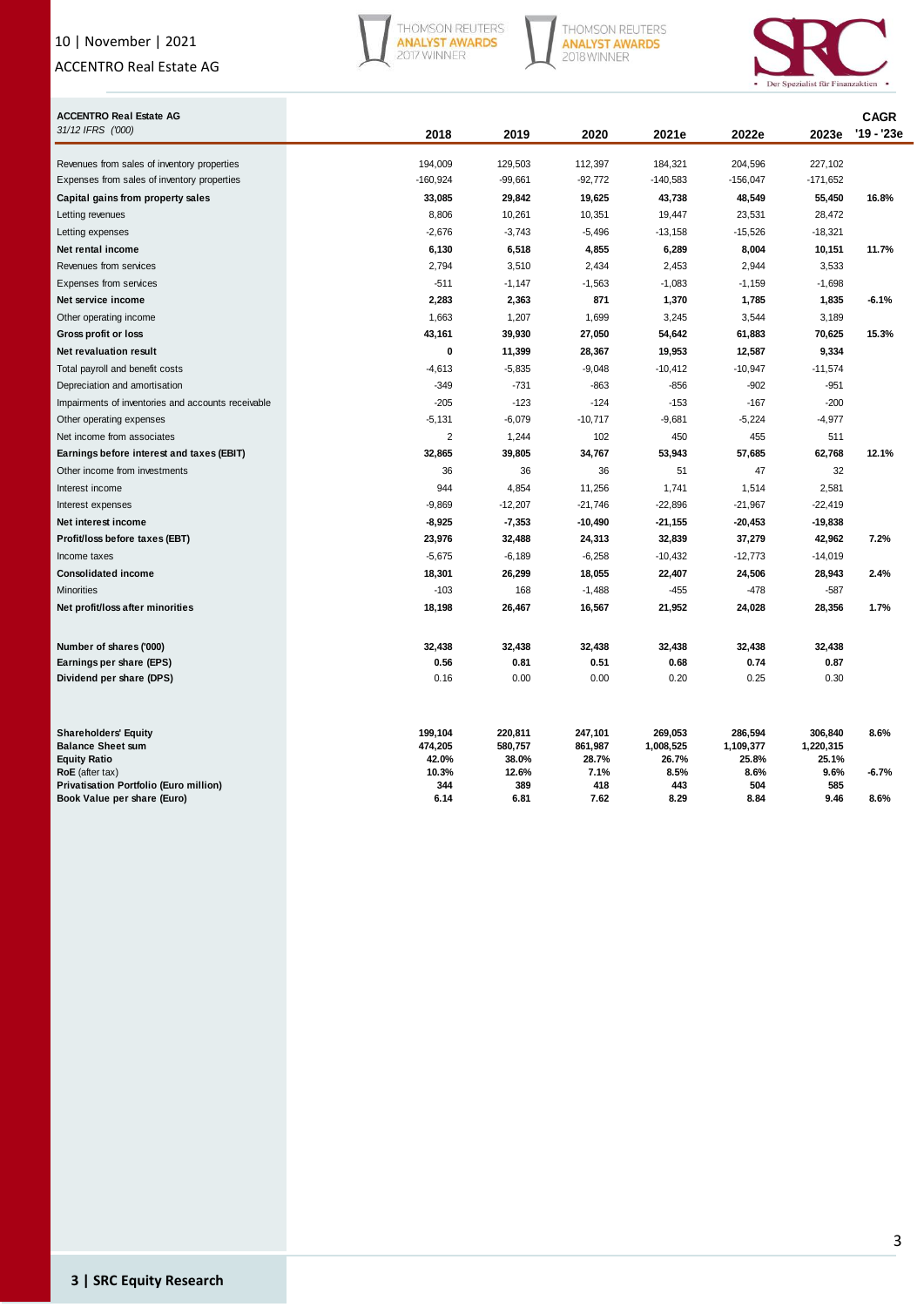## 10 | November | 2021

## ACCENTRO Real Estate AG



THOMSON REUTERS<br>ANALYST AWARDS<br>2018 WINNER



| <b>ACCENTRO Real Estate AG</b><br>31/12 IFRS ('000) | 2018           | 2019           | 2020          | 2021e         | 2022e         | 2023e         | <b>CAGR</b><br>'19 - '23e |
|-----------------------------------------------------|----------------|----------------|---------------|---------------|---------------|---------------|---------------------------|
| Revenues from sales of inventory properties         | 194,009        | 129,503        | 112,397       | 184,321       | 204,596       | 227,102       |                           |
| Expenses from sales of inventory properties         | $-160,924$     | $-99,661$      | $-92,772$     | $-140,583$    | $-156,047$    | $-171,652$    |                           |
| Capital gains from property sales                   | 33,085         | 29,842         | 19,625        | 43,738        | 48,549        | 55,450        | 16.8%                     |
| Letting revenues                                    | 8,806          | 10,261         | 10,351        | 19,447        | 23,531        | 28,472        |                           |
| Letting expenses                                    | $-2,676$       | $-3,743$       | $-5,496$      | $-13,158$     | $-15,526$     | $-18,321$     |                           |
| Net rental income                                   | 6,130          | 6,518          | 4,855         | 6,289         | 8,004         | 10,151        | 11.7%                     |
| Revenues from services                              | 2,794          | 3,510          | 2,434         | 2,453         | 2,944         | 3,533         |                           |
| Expenses from services                              | $-511$         | $-1,147$       | $-1,563$      | $-1,083$      | $-1,159$      | $-1,698$      |                           |
| Net service income                                  | 2,283          | 2,363          | 871           | 1,370         | 1,785         | 1,835         | $-6.1%$                   |
| Other operating income                              | 1,663          | 1,207          | 1,699         | 3,245         | 3,544         | 3,189         |                           |
| Gross profit or loss                                | 43,161         | 39,930         | 27,050        | 54,642        | 61,883        | 70,625        | 15.3%                     |
| <b>Net revaluation result</b>                       | 0              | 11,399         | 28,367        | 19,953        | 12,587        | 9,334         |                           |
| Total payroll and benefit costs                     | $-4,613$       | $-5,835$       | $-9,048$      | $-10,412$     | $-10,947$     | $-11,574$     |                           |
| Depreciation and amortisation                       | $-349$         | $-731$         | $-863$        | $-856$        | $-902$        | $-951$        |                           |
| Impairments of inventories and accounts receivable  | $-205$         | $-123$         | $-124$        | $-153$        | $-167$        | $-200$        |                           |
| Other operating expenses                            | $-5,131$       | $-6,079$       | $-10,717$     | $-9,681$      | $-5,224$      | $-4,977$      |                           |
| Net income from associates                          | $\overline{2}$ | 1,244          | 102           | 450           | 455           | 511           |                           |
| Earnings before interest and taxes (EBIT)           | 32,865         | 39,805         | 34,767        | 53,943        | 57,685        | 62,768        | 12.1%                     |
| Other income from investments                       | 36             | 36             | 36            | 51            | 47            | 32            |                           |
| Interest income                                     | 944            | 4,854          | 11,256        | 1,741         | 1,514         | 2,581         |                           |
| Interest expenses                                   | $-9,869$       | $-12,207$      | $-21,746$     | $-22,896$     | $-21,967$     | $-22,419$     |                           |
| Net interest income                                 | $-8,925$       | $-7,353$       | -10,490       | $-21,155$     | -20,453       | $-19,838$     |                           |
| Profit/loss before taxes (EBT)                      | 23,976         | 32,488         | 24,313        | 32,839        | 37,279        | 42,962        | 7.2%                      |
| Income taxes                                        | $-5,675$       | $-6,189$       | $-6,258$      | $-10,432$     | $-12,773$     | $-14,019$     |                           |
| <b>Consolidated income</b>                          | 18,301         | 26,299         | 18,055        | 22,407        | 24,506        | 28,943        | 2.4%                      |
| <b>Minorities</b>                                   | $-103$         | 168            | $-1,488$      | $-455$        | $-478$        | $-587$        |                           |
| Net profit/loss after minorities                    | 18,198         | 26,467         | 16,567        | 21,952        | 24,028        | 28,356        | 1.7%                      |
| Number of shares ('000)                             | 32,438         | 32,438         | 32,438        | 32,438        | 32,438        | 32,438        |                           |
| Earnings per share (EPS)                            | 0.56           | 0.81           | 0.51          | 0.68          | 0.74          | 0.87          |                           |
| Dividend per share (DPS)                            | 0.16           | 0.00           | 0.00          | 0.20          | 0.25          | 0.30          |                           |
| <b>Shareholders' Equity</b>                         | 199,104        | 220,811        | 247,101       | 269,053       | 286,594       | 306,840       | 8.6%                      |
| <b>Balance Sheet sum</b>                            | 474,205        | 580,757        | 861,987       | 1,008,525     | 1,109,377     | 1,220,315     |                           |
| <b>Equity Ratio</b><br>$RoE$ (after tax)            | 42.0%<br>10.3% | 38.0%<br>12.6% | 28.7%<br>7.1% | 26.7%<br>8.5% | 25.8%<br>8.6% | 25.1%<br>9.6% | $-6.7%$                   |
| Privatisation Portfolio (Euro million)              | 344            | 389            | 418           | 443           | 504           | 585           |                           |
| Book Value per share (Euro)                         | 6.14           | 6.81           | 7.62          | 8.29          | 8.84          | 9.46          | 8.6%                      |